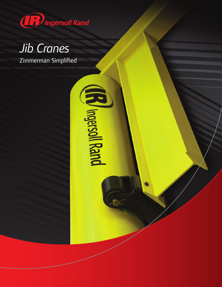

## *Jib Cranes*

Zimmerman Simplified

(B) Ingersoll Rand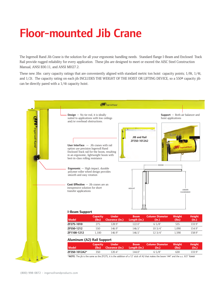## **Floor-mounted Jib Crane**

The Ingersoll Rand Jib Crane is the solution for all your ergonomic handling needs. Standard flange I-Beam and Enclosed Track Rail provide rugged reliability for every application. These jibs are designed to meet or exceed the AISC Steel Construction Manual, ANSI B30.11, and ANSI MH27.2.

These new Jibs carry capacity ratings that are conveniently aligned with standard metric ton hoist capacity points; 1/8t, 1/4t, and 1/2t. The capacity rating on each jib INCLUDES THE WEIGHT OF THE HOIST OR LIFTING DEVICE, so a 550# capacity jib can be directly pared with a 1/4t capacity hoist.

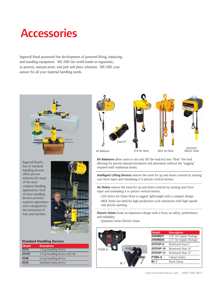## **Accessories**

Ingersoll Rand pioneered the development of powered lifting, balancing, and handling equipment. WE ARE the world leader in ergonomic, in-process, manual assist, and pick and place solutions. WE ARE your answer for all your material handling needs.



Ingersoll Rand's line of standard handling devices offers proven solutions for many of the more common handling applications. Each of these handling devices provides superior ergonomics and is designed for the interaction of man and machine.



## **Standard Handling Devices**

| <b>Model</b>      | <b>Description</b>              |
|-------------------|---------------------------------|
| ZV1S              | 1-Cup handling device           |
| ZV1ST             | 1-Cup handling device with tilt |
| ZV <sub>4</sub> S | 4-Cup handling device           |
| ZC <sub>2</sub> S | Standard clamp device           |



**Air Balancers** allow users to not only lift the load but also "float" the load, allowing for precise manual movement and placement without the "jogging" required with traditional hoists.

**Intelligent Lifting Devices** remove the need for up and down controls by sensing user force input and translating it to precise vertical motion.

**Air Hoists** remove the need for up and down controls by sensing user force input and translating it to precise vertical motion.

- CLK Series Air Chain Hoist is rugged, lightweight with a compact design.
- MLK Series are ideal for high production cycle operations with high speeds and precise spotting.

**Electric Hoists** boast an impressive design with a focus on safety, performance and reliability.

- Quantum Series Electric Chain